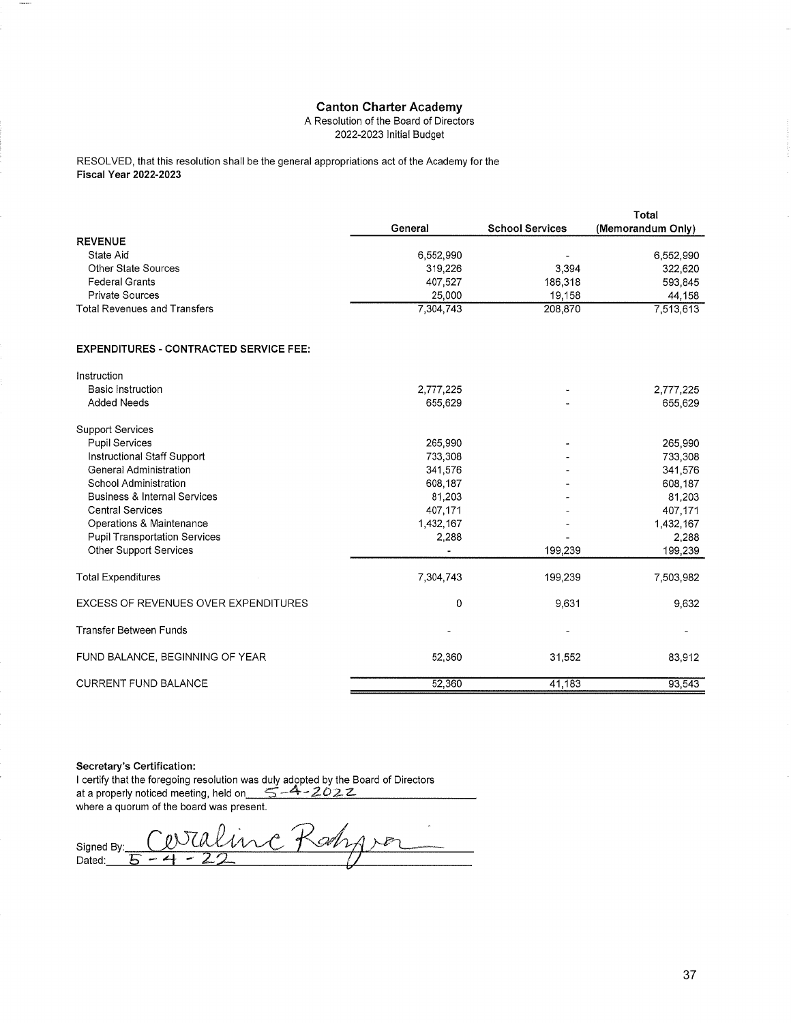## **Canton Charter Academy**

## A Resolution of the Board of Directors

2022-2023 Initial Budget

RESOLVED, that this resolution shall be the general appropriations act of the Academy for the **Fiscal Year 2022-2023** 

|                                               |           |                        | Total             |
|-----------------------------------------------|-----------|------------------------|-------------------|
|                                               | General   | <b>School Services</b> | (Memorandum Only) |
| <b>REVENUE</b>                                |           |                        |                   |
| State Aid                                     | 6,552,990 |                        | 6,552,990         |
| <b>Other State Sources</b>                    | 319,226   | 3,394                  | 322,620           |
| <b>Federal Grants</b>                         | 407,527   | 186,318                | 593,845           |
| <b>Private Sources</b>                        | 25,000    | 19,158                 | 44,158            |
| <b>Total Revenues and Transfers</b>           | 7,304,743 | 208,870                | 7,513,613         |
| <b>EXPENDITURES - CONTRACTED SERVICE FEE:</b> |           |                        |                   |
| Instruction                                   |           |                        |                   |
| <b>Basic Instruction</b>                      | 2,777,225 |                        | 2,777,225         |
| <b>Added Needs</b>                            | 655,629   |                        | 655,629           |
| <b>Support Services</b>                       |           |                        |                   |
| Pupil Services                                | 265,990   |                        | 265,990           |
| Instructional Staff Support                   | 733,308   |                        | 733,308           |
| <b>General Administration</b>                 | 341,576   |                        | 341,576           |
| School Administration                         | 608,187   |                        | 608,187           |
| <b>Business &amp; Internal Services</b>       | 81,203    |                        | 81,203            |
| <b>Central Services</b>                       | 407,171   |                        | 407,171           |
| Operations & Maintenance                      | 1,432,167 |                        | 1,432,167         |
| <b>Pupil Transportation Services</b>          | 2,288     |                        | 2,288             |
| Other Support Services                        |           | 199,239                | 199,239           |
| <b>Total Expenditures</b>                     | 7,304,743 | 199,239                | 7,503,982         |
| EXCESS OF REVENUES OVER EXPENDITURES          | 0         | 9,631                  | 9,632             |
| <b>Transfer Between Funds</b>                 |           |                        |                   |
| FUND BALANCE, BEGINNING OF YEAR               | 52,360    | 31,552                 | 83,912            |
| <b>CURRENT FUND BALANCE</b>                   | 52.360    | 41.183                 | 93.543            |

**Secretary's Certification:** I certify that the foregoing resolution was duly adopted by the Board of Directors<br>at a properly noticed meeting, held on  $5-4-202.2$ where a quorum of the board was present.

inc Rah  $\rho\mathcal{N}a$ Signed By: Dated: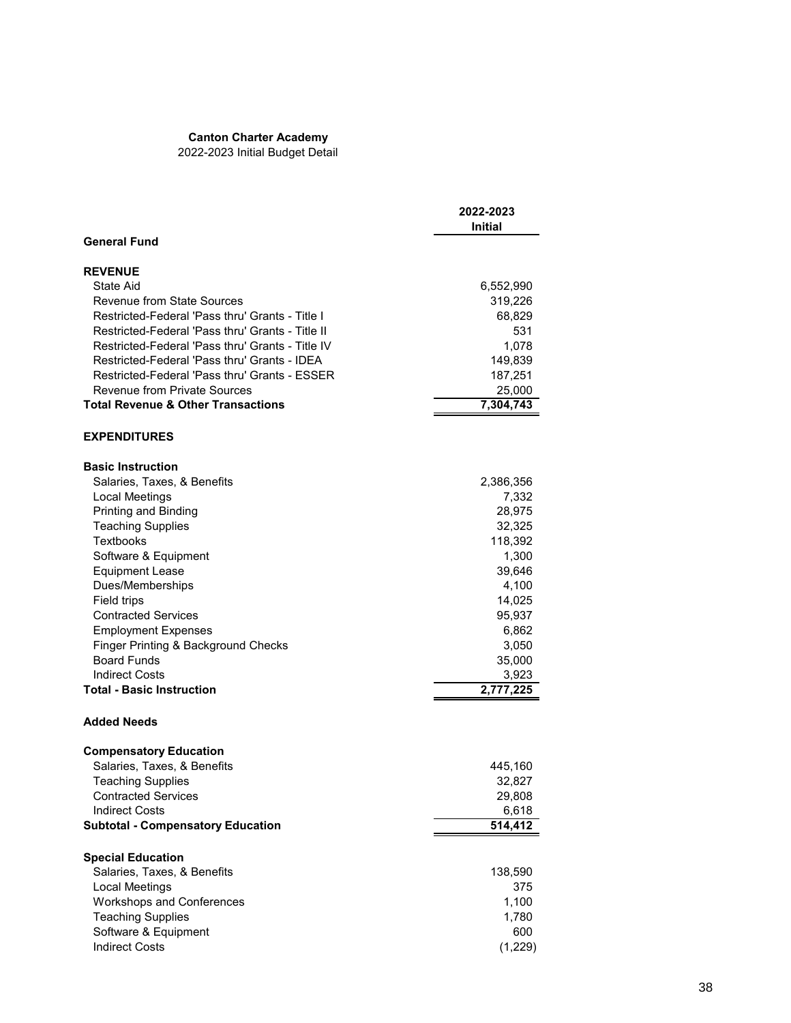## **Canton Charter Academy**

2022-2023 Initial Budget Detail

|                                                           | 2022-2023<br><b>Initial</b> |
|-----------------------------------------------------------|-----------------------------|
| <b>General Fund</b>                                       |                             |
| <b>REVENUE</b>                                            |                             |
| State Aid                                                 | 6,552,990                   |
| Revenue from State Sources                                | 319,226                     |
| Restricted-Federal 'Pass thru' Grants - Title I           | 68,829                      |
| Restricted-Federal 'Pass thru' Grants - Title II          | 531                         |
| Restricted-Federal 'Pass thru' Grants - Title IV          | 1,078                       |
| Restricted-Federal 'Pass thru' Grants - IDEA              | 149,839                     |
| Restricted-Federal 'Pass thru' Grants - ESSER             | 187,251                     |
| <b>Revenue from Private Sources</b>                       | 25,000                      |
| <b>Total Revenue &amp; Other Transactions</b>             | 7,304,743                   |
| <b>EXPENDITURES</b>                                       |                             |
| <b>Basic Instruction</b>                                  |                             |
| Salaries, Taxes, & Benefits                               | 2,386,356                   |
| <b>Local Meetings</b>                                     | 7,332                       |
| <b>Printing and Binding</b>                               | 28,975                      |
| <b>Teaching Supplies</b>                                  | 32,325                      |
| <b>Textbooks</b>                                          | 118,392                     |
| Software & Equipment                                      | 1,300                       |
| Equipment Lease                                           | 39,646                      |
| Dues/Memberships                                          | 4,100                       |
| Field trips                                               | 14,025                      |
| <b>Contracted Services</b>                                | 95,937                      |
| <b>Employment Expenses</b>                                | 6,862                       |
| Finger Printing & Background Checks<br><b>Board Funds</b> | 3,050                       |
| <b>Indirect Costs</b>                                     | 35,000<br>3,923             |
| <b>Total - Basic Instruction</b>                          | 2,777,225                   |
|                                                           |                             |
| <b>Added Needs</b>                                        |                             |
| <b>Compensatory Education</b>                             |                             |
| Salaries, Taxes, & Benefits                               | 445,160                     |
| <b>Teaching Supplies</b>                                  | 32,827                      |
| <b>Contracted Services</b>                                | 29,808                      |
| <b>Indirect Costs</b>                                     | 6,618                       |
| <b>Subtotal - Compensatory Education</b>                  | 514,412                     |
| <b>Special Education</b>                                  |                             |
| Salaries, Taxes, & Benefits                               | 138,590                     |
| <b>Local Meetings</b>                                     | 375                         |
| Workshops and Conferences                                 | 1,100                       |
| <b>Teaching Supplies</b>                                  | 1,780                       |
| Software & Equipment                                      | 600                         |
| <b>Indirect Costs</b>                                     | (1, 229)                    |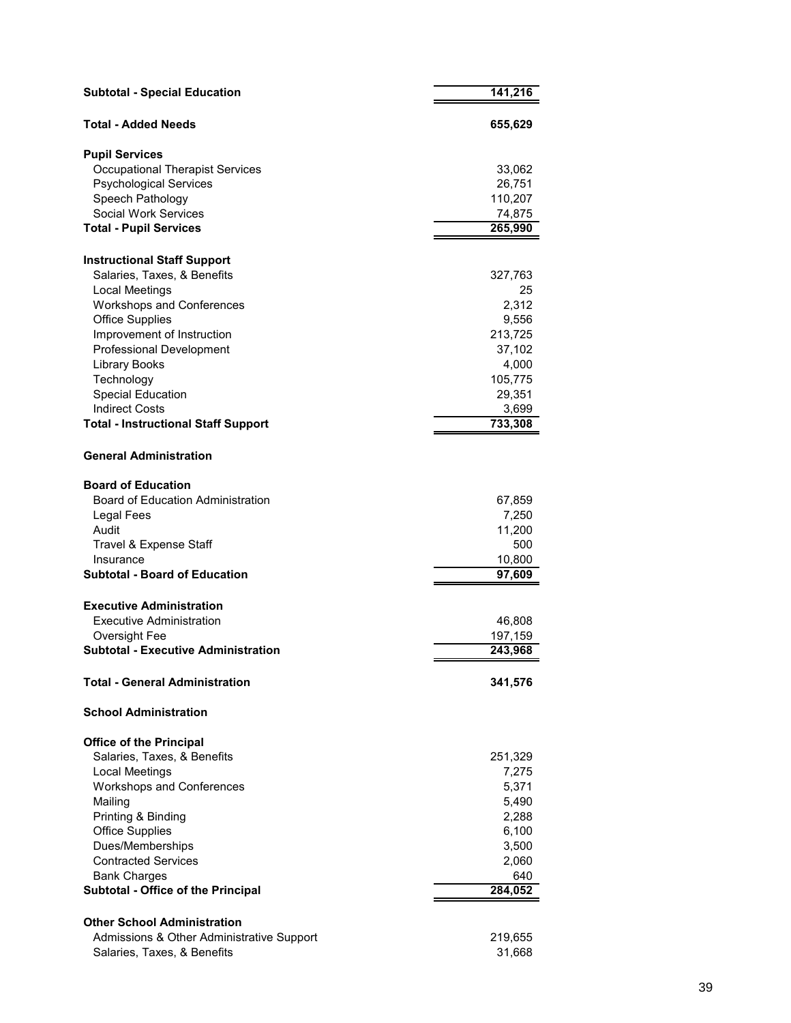| <b>Subtotal - Special Education</b>                               | 141,216       |
|-------------------------------------------------------------------|---------------|
| <b>Total - Added Needs</b>                                        | 655,629       |
| <b>Pupil Services</b>                                             |               |
| <b>Occupational Therapist Services</b>                            | 33,062        |
| <b>Psychological Services</b>                                     | 26,751        |
| Speech Pathology                                                  | 110,207       |
| Social Work Services                                              | 74,875        |
| <b>Total - Pupil Services</b>                                     | 265,990       |
|                                                                   |               |
| <b>Instructional Staff Support</b><br>Salaries, Taxes, & Benefits |               |
| <b>Local Meetings</b>                                             | 327,763<br>25 |
| <b>Workshops and Conferences</b>                                  | 2,312         |
| <b>Office Supplies</b>                                            | 9,556         |
| Improvement of Instruction                                        | 213,725       |
| <b>Professional Development</b>                                   | 37,102        |
| <b>Library Books</b>                                              | 4,000         |
| Technology                                                        | 105,775       |
| <b>Special Education</b>                                          | 29,351        |
| <b>Indirect Costs</b>                                             | 3,699         |
| <b>Total - Instructional Staff Support</b>                        | 733,308       |
| <b>General Administration</b>                                     |               |
| <b>Board of Education</b>                                         |               |
| <b>Board of Education Administration</b>                          | 67,859        |
| Legal Fees                                                        | 7,250         |
| Audit                                                             | 11,200        |
| Travel & Expense Staff                                            | 500           |
| Insurance                                                         | 10,800        |
| <b>Subtotal - Board of Education</b>                              | 97,609        |
| <b>Executive Administration</b>                                   |               |
| <b>Executive Administration</b>                                   | 46,808        |
| Oversight Fee                                                     | 197,159       |
| <b>Subtotal - Executive Administration</b>                        | 243,968       |
|                                                                   |               |
| <b>Total - General Administration</b>                             | 341,576       |
| <b>School Administration</b>                                      |               |
| <b>Office of the Principal</b>                                    |               |
| Salaries, Taxes, & Benefits                                       | 251,329       |
| Local Meetings                                                    | 7,275         |
| <b>Workshops and Conferences</b>                                  | 5,371         |
| Mailing                                                           | 5,490         |
| Printing & Binding                                                | 2,288         |
| <b>Office Supplies</b>                                            | 6,100         |
| Dues/Memberships                                                  | 3,500         |
| <b>Contracted Services</b>                                        | 2,060         |
| <b>Bank Charges</b>                                               | 640           |
| <b>Subtotal - Office of the Principal</b>                         | 284,052       |
| <b>Other School Administration</b>                                |               |
| Admissions & Other Administrative Support                         | 219,655       |
| Salaries, Taxes, & Benefits                                       | 31,668        |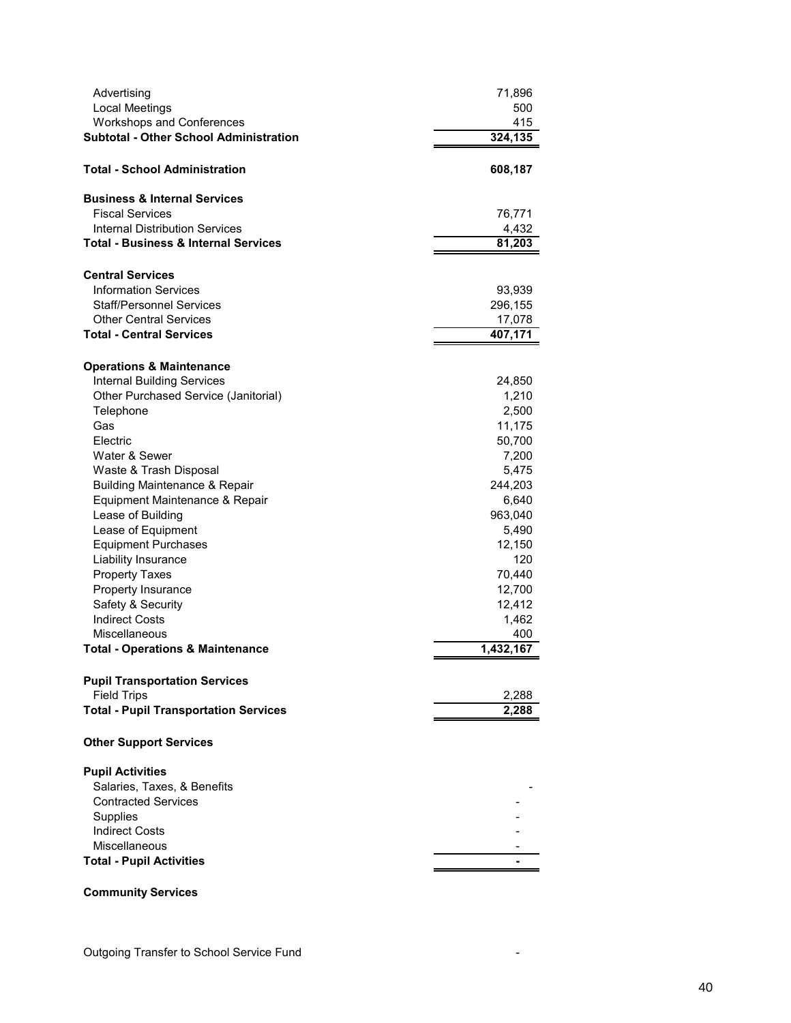| Advertising<br>Local Meetings<br><b>Workshops and Conferences</b>  | 71,896<br>500<br>415 |
|--------------------------------------------------------------------|----------------------|
| <b>Subtotal - Other School Administration</b>                      | 324,135              |
| <b>Total - School Administration</b>                               | 608,187              |
| <b>Business &amp; Internal Services</b>                            |                      |
| <b>Fiscal Services</b>                                             | 76,771               |
| Internal Distribution Services                                     | 4,432                |
| <b>Total - Business &amp; Internal Services</b>                    | 81,203               |
| <b>Central Services</b>                                            |                      |
| <b>Information Services</b>                                        | 93,939               |
| <b>Staff/Personnel Services</b>                                    | 296,155              |
| <b>Other Central Services</b>                                      | 17,078               |
| <b>Total - Central Services</b>                                    | 407,171              |
| <b>Operations &amp; Maintenance</b>                                |                      |
| <b>Internal Building Services</b>                                  | 24,850               |
| Other Purchased Service (Janitorial)                               | 1,210                |
| Telephone                                                          | 2,500                |
| Gas                                                                | 11,175               |
| Electric                                                           | 50,700               |
| Water & Sewer                                                      | 7,200                |
| Waste & Trash Disposal                                             | 5,475                |
| <b>Building Maintenance &amp; Repair</b>                           | 244,203              |
| Equipment Maintenance & Repair                                     | 6,640                |
| Lease of Building                                                  | 963,040              |
| Lease of Equipment                                                 | 5,490                |
| <b>Equipment Purchases</b>                                         | 12,150<br>120        |
| Liability Insurance<br><b>Property Taxes</b>                       | 70,440               |
| Property Insurance                                                 | 12,700               |
| Safety & Security                                                  | 12,412               |
| <b>Indirect Costs</b>                                              | 1,462                |
| Miscellaneous                                                      | 400                  |
| <b>Total - Operations &amp; Maintenance</b>                        | 1,432,167            |
|                                                                    |                      |
| <b>Pupil Transportation Services</b>                               |                      |
| <b>Field Trips</b><br><b>Total - Pupil Transportation Services</b> | 2,288<br>2,288       |
|                                                                    |                      |
| <b>Other Support Services</b>                                      |                      |
| <b>Pupil Activities</b>                                            |                      |
| Salaries, Taxes, & Benefits                                        |                      |
| <b>Contracted Services</b>                                         |                      |
| Supplies                                                           |                      |
| <b>Indirect Costs</b>                                              |                      |
| Miscellaneous                                                      |                      |
| <b>Total - Pupil Activities</b>                                    |                      |

**Community Services**